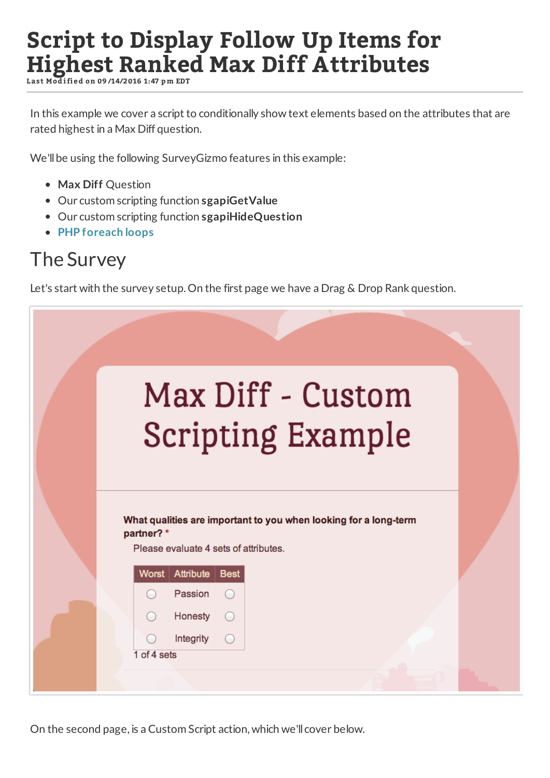# **Script to Display Follow Up Items for Highest Ranked Max Diff Attributes**

**L ast Mod i fi ed on 09 /14/2016 1:47 p m EDT**

In this example we cover a script to conditionally show text elements based on the attributes that are rated highest in a Max Diff question.

We'll be using the following SurveyGizmo features in this example:

- **Max Diff** Question
- Our custom scripting function **sgapiGetValue**
- Our custom scripting function **sgapiHideQuestion**
- **PHP foreach loops**

#### The Survey

Let's start with the survey setup. On the first page we have a Drag & Drop Rank question.

| Max Diff - Custom<br><b>Scripting Example</b>                                                                          |  |
|------------------------------------------------------------------------------------------------------------------------|--|
| What qualities are important to you when looking for a long-term<br>partner?*<br>Please evaluate 4 sets of attributes. |  |
| Worst   Attribute  <br><b>Best</b>                                                                                     |  |
| Passion                                                                                                                |  |
| Honesty                                                                                                                |  |
| Integrity<br>$\left( \begin{array}{c} \end{array} \right)$                                                             |  |
| 1 of 4 sets                                                                                                            |  |
|                                                                                                                        |  |

On the second page, is a Custom Script action, which we'll cover below.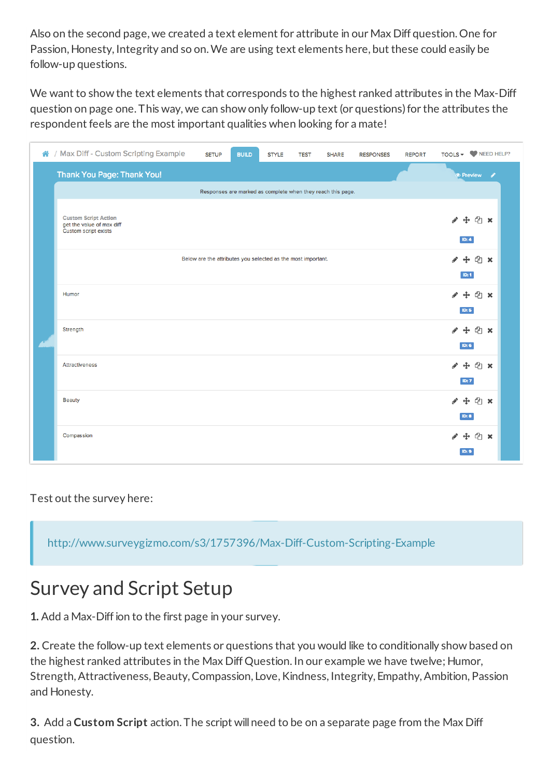Also on the second page, we created a text element for attribute in our Max Diff question. One for Passion, Honesty, Integrity and so on.We are using text elements here, but these could easily be follow-up questions.

We want to show the text elements that corresponds to the highest ranked attributes in the Max-Diff question on page one. This way, we can show only follow-up text (or questions)for the attributes the respondent feels are the most important qualities when looking for a mate!

| ↑ / Max Diff - Custom Scripting Example                                          | <b>SETUP</b>                                                 | <b>BUILD</b> | <b>STYLE</b> | <b>TEST</b> | <b>SHARE</b> | <b>RESPONSES</b> | <b>REPORT</b> |                                     | TOOLS $\bullet$ $\bullet$ NEED HELP? |
|----------------------------------------------------------------------------------|--------------------------------------------------------------|--------------|--------------|-------------|--------------|------------------|---------------|-------------------------------------|--------------------------------------|
| <b>Thank You Page: Thank You!</b>                                                |                                                              |              |              |             |              |                  |               |                                     | <b>O</b> Preview /                   |
| Responses are marked as complete when they reach this page.                      |                                                              |              |              |             |              |                  |               |                                     |                                      |
| <b>Custom Script Action</b><br>get the value of max diff<br>Custom script exists |                                                              |              |              |             |              |                  |               |                                     | ÷ en x<br>ID: 4                      |
|                                                                                  | Below are the attributes you selected as the most important. |              |              |             |              |                  |               |                                     | $\Phi$ x<br>ID: 1                    |
| Humor                                                                            |                                                              |              |              |             |              |                  |               |                                     | <sup>①</sup> ×<br>ID: 5              |
| Strength                                                                         |                                                              |              |              |             |              |                  |               | $\div$<br>P                         | $\Phi$ x<br><b>ID: 6</b>             |
| <b>Attractiveness</b>                                                            |                                                              |              |              |             |              |                  |               | ⊕                                   | <sup>①</sup> ×<br>ID: 7              |
| <b>Beauty</b>                                                                    |                                                              |              |              |             |              |                  |               | $\ddot{\mathrm{t}}$<br><b>ID: 8</b> | $\Phi$ x                             |
| Compassion                                                                       |                                                              |              |              |             |              |                  |               |                                     | <b>中华×</b><br>ID: 9                  |

Test out the survey here:

http://www.surveygizmo.com/s3/1757396/Max-Diff-Custom-Scripting-Example

### Survey and Script Setup

**1.** Add a Max-Diffion to the first page in your survey.

**2.** Create the follow-up text elements or questions that you would like to conditionally show based on the highest ranked attributes in the Max Diff Question. In our example we have twelve; Humor, Strength, Attractiveness, Beauty, Compassion, Love, Kindness, Integrity, Empathy, Ambition, Passion and Honesty.

**3.** Add a **Custom Script** action. The script willneed to be on a separate page from the Max Diff question.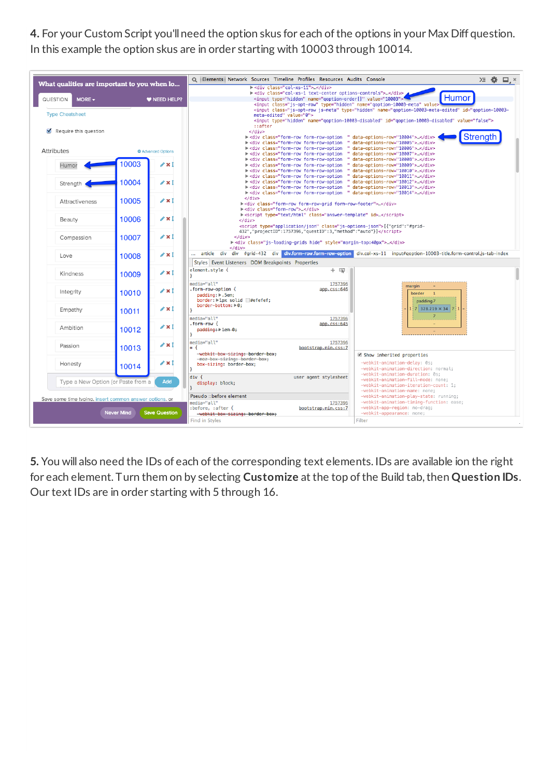4. For your Custom Script you'll need the option skus for each of the options in your Max Diff question. In this example the option skus are in order starting with 10003 through 10014.

| > <div class="col-xs-1 text-center options-controls"> </div><br><b>Humor</b><br><input name="goption-order[]" type="hidden" value="10003"/> "                                                                                                                                                                                                                                                             |  |  |  |  |  |  |  |  |
|-----------------------------------------------------------------------------------------------------------------------------------------------------------------------------------------------------------------------------------------------------------------------------------------------------------------------------------------------------------------------------------------------------------|--|--|--|--|--|--|--|--|
| <input class="js-opt-row" name="qoption-10003-meta" td="" type="hidden" value:<=""/>                                                                                                                                                                                                                                                                                                                      |  |  |  |  |  |  |  |  |
| <input class="js-opt-row js-meta" id="goption-10003-&lt;br&gt;meta-edited" name="goption-10003-meta-edited" type="hidden" value="0"/>                                                                                                                                                                                                                                                                     |  |  |  |  |  |  |  |  |
| <input id="goption-10003-disabled" name="goption-10003-disabled" type="hidden" value="false"/>                                                                                                                                                                                                                                                                                                            |  |  |  |  |  |  |  |  |
| ::after<br><br>Strength                                                                                                                                                                                                                                                                                                                                                                                   |  |  |  |  |  |  |  |  |
|                                                                                                                                                                                                                                                                                                                                                                                                           |  |  |  |  |  |  |  |  |
|                                                                                                                                                                                                                                                                                                                                                                                                           |  |  |  |  |  |  |  |  |
| > <div 10006"="" class="form-row form-row-option&lt;br&gt;data-options-row="></div><br>> <div 10007"="" class="form-row form-row-option&lt;br&gt;data-options-row="></div>                                                                                                                                                                                                                                |  |  |  |  |  |  |  |  |
| Ħ<br>> <div 10008"="" class="form-row form-row-option&lt;br&gt;data-options-row="></div>                                                                                                                                                                                                                                                                                                                  |  |  |  |  |  |  |  |  |
| > <div 10009"="" class="form-row form-row-option&lt;br&gt;data-options-row="> </div>                                                                                                                                                                                                                                                                                                                      |  |  |  |  |  |  |  |  |
| > <div 10010"="" class="form-row form-row-option&lt;br&gt;data-options-row="></div><br>" data-options-row="10011"><br>> <div class="form-row form-row-option&lt;/td&gt;&lt;/tr&gt;&lt;tr&gt;&lt;td rowspan=2 colspan=9&gt;&gt;&lt;div class=" form-row="" form-row-option<br="">data-options-row="10012"&gt;</div><br>> <div 10013"="" class="form-row form-row-option&lt;br&gt;data-options-row="></div> |  |  |  |  |  |  |  |  |
| " data-options-row="10014"><br>> <div class="answer-template" html"="" id="" text=""><br/></div>                                                                                                                                                                                                                                                                                                          |  |  |  |  |  |  |  |  |
|                                                                                                                                                                                                                                                                                                                                                                                                           |  |  |  |  |  |  |  |  |
| 432", "projectID":1757396, "questID":3, "method": "auto"}]                                                                                                                                                                                                                                                                                                                                                |  |  |  |  |  |  |  |  |
| <br>><br>div class="js-loading-grids hide" style="margin-top:40px">                                                                                                                                                                                                                                                                                                                                       |  |  |  |  |  |  |  |  |
| $\lt$ /div><br>article div div<br>#grid-432 div div.form-row.form-row-option div.col-xs-11 input#qoption-10003-title.form-control.js-tab-index                                                                                                                                                                                                                                                            |  |  |  |  |  |  |  |  |
|                                                                                                                                                                                                                                                                                                                                                                                                           |  |  |  |  |  |  |  |  |
|                                                                                                                                                                                                                                                                                                                                                                                                           |  |  |  |  |  |  |  |  |
|                                                                                                                                                                                                                                                                                                                                                                                                           |  |  |  |  |  |  |  |  |
|                                                                                                                                                                                                                                                                                                                                                                                                           |  |  |  |  |  |  |  |  |
|                                                                                                                                                                                                                                                                                                                                                                                                           |  |  |  |  |  |  |  |  |
|                                                                                                                                                                                                                                                                                                                                                                                                           |  |  |  |  |  |  |  |  |
|                                                                                                                                                                                                                                                                                                                                                                                                           |  |  |  |  |  |  |  |  |
|                                                                                                                                                                                                                                                                                                                                                                                                           |  |  |  |  |  |  |  |  |
|                                                                                                                                                                                                                                                                                                                                                                                                           |  |  |  |  |  |  |  |  |
|                                                                                                                                                                                                                                                                                                                                                                                                           |  |  |  |  |  |  |  |  |
|                                                                                                                                                                                                                                                                                                                                                                                                           |  |  |  |  |  |  |  |  |
|                                                                                                                                                                                                                                                                                                                                                                                                           |  |  |  |  |  |  |  |  |
|                                                                                                                                                                                                                                                                                                                                                                                                           |  |  |  |  |  |  |  |  |
|                                                                                                                                                                                                                                                                                                                                                                                                           |  |  |  |  |  |  |  |  |
|                                                                                                                                                                                                                                                                                                                                                                                                           |  |  |  |  |  |  |  |  |
|                                                                                                                                                                                                                                                                                                                                                                                                           |  |  |  |  |  |  |  |  |
|                                                                                                                                                                                                                                                                                                                                                                                                           |  |  |  |  |  |  |  |  |
|                                                                                                                                                                                                                                                                                                                                                                                                           |  |  |  |  |  |  |  |  |
|                                                                                                                                                                                                                                                                                                                                                                                                           |  |  |  |  |  |  |  |  |
|                                                                                                                                                                                                                                                                                                                                                                                                           |  |  |  |  |  |  |  |  |
|                                                                                                                                                                                                                                                                                                                                                                                                           |  |  |  |  |  |  |  |  |
|                                                                                                                                                                                                                                                                                                                                                                                                           |  |  |  |  |  |  |  |  |
|                                                                                                                                                                                                                                                                                                                                                                                                           |  |  |  |  |  |  |  |  |
|                                                                                                                                                                                                                                                                                                                                                                                                           |  |  |  |  |  |  |  |  |

5. You will also need the IDs of each of the corresponding text elements. IDs are available ion the right for each element. Turn them on by selecting Customize at the top of the Build tab, then Question IDs. Our text IDs are in order starting with 5 through 16.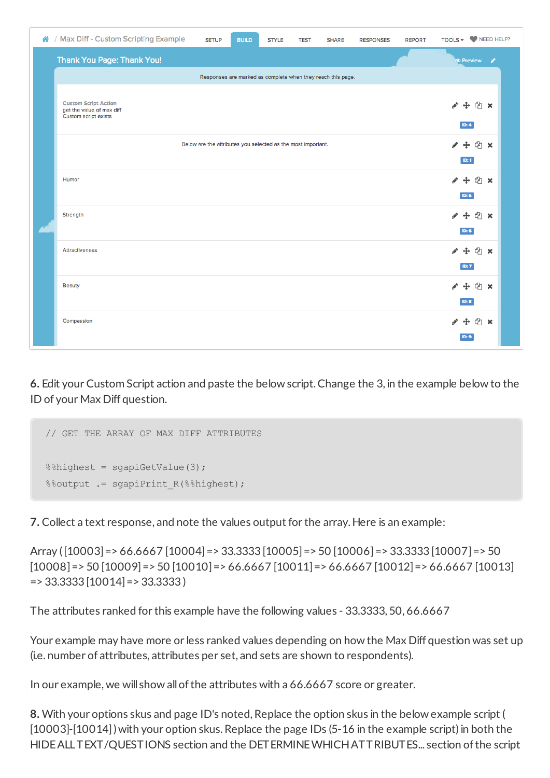| ↑ / Max Diff - Custom Scripting Example                                          | <b>SETUP</b>                                                 | <b>BUILD</b> | <b>STYLE</b> | <b>TEST</b> | <b>SHARE</b> | <b>RESPONSES</b> | <b>REPORT</b> |                          | TOOLS $\bullet$ $\bullet$ NEED HELP?                  |
|----------------------------------------------------------------------------------|--------------------------------------------------------------|--------------|--------------|-------------|--------------|------------------|---------------|--------------------------|-------------------------------------------------------|
| <b>Thank You Page: Thank You!</b>                                                |                                                              |              |              |             |              |                  |               |                          | <b>O</b> Preview<br>P                                 |
| Responses are marked as complete when they reach this page.                      |                                                              |              |              |             |              |                  |               |                          |                                                       |
| <b>Custom Script Action</b><br>get the value of max diff<br>Custom script exists |                                                              |              |              |             |              |                  |               | i                        | 中 T x<br>ID: 4                                        |
|                                                                                  | Below are the attributes you selected as the most important. |              |              |             |              |                  |               | P                        | $4$ $\times$<br>ID: 1                                 |
| Humor                                                                            |                                                              |              |              |             |              |                  |               | i                        | <sup>①</sup> ×<br>ID: 5                               |
| Strength                                                                         |                                                              |              |              |             |              |                  |               | i                        | $\ddot{\textbf{t}}$<br><sup>①</sup> ×<br><b>ID: 6</b> |
| <b>Attractiveness</b>                                                            |                                                              |              |              |             |              |                  |               | i                        | $\ddot{\mathrm{t}}$<br><sup>①</sup> ×<br>ID: 7        |
| <b>Beauty</b>                                                                    |                                                              |              |              |             |              |                  |               | $\ddot{\textbf{t}}$<br>ℐ | <sup>①</sup> ×<br>ID: 8                               |
| Compassion                                                                       |                                                              |              |              |             |              |                  |               |                          | $\phi$ $\times$<br>ID: 9                              |

**6.** Edit your Custom Script action and paste the below script. Change the 3, in the example below to the ID of your Max Diff question.

```
// GET THE ARRAY OF MAX DIFF ATTRIBUTES
%%highest = sgapiGetValue(3);
%%output .= sgapiPrint R(%%highest);
```
**7.** Collect a text response, and note the values output for the array. Here is an example:

Array ([10003]=> 66.6667 [10004]=> 33.3333 [10005]=> 50 [10006]=> 33.3333 [10007]=> 50  $[10008]$  = > 50  $[10009]$  = > 50  $[10010]$  = > 66.6667  $[10011]$  = > 66.6667  $[10012]$  = > 66.6667  $[10013]$  $=$  > 33.3333 [10014] = > 33.3333 ]

The attributes ranked for this example have the following values - 33.3333, 50, 66.6667

Your example may have more or less ranked values depending on how the Max Diff question was set up (i.e. number of attributes, attributes per set, and sets are shown to respondents).

In our example, we will show all of the attributes with a 66.6667 score or greater.

**8.** With your options skus and page ID's noted, Replace the option skus in the below example script ( [10003]-[10014]) with your option skus. Replace the page IDs (5-16 in the example script) in both the HIDEALLTEXT/QUESTIONS section and the DETERMINEWHICHATTRIBUTES... section ofthe script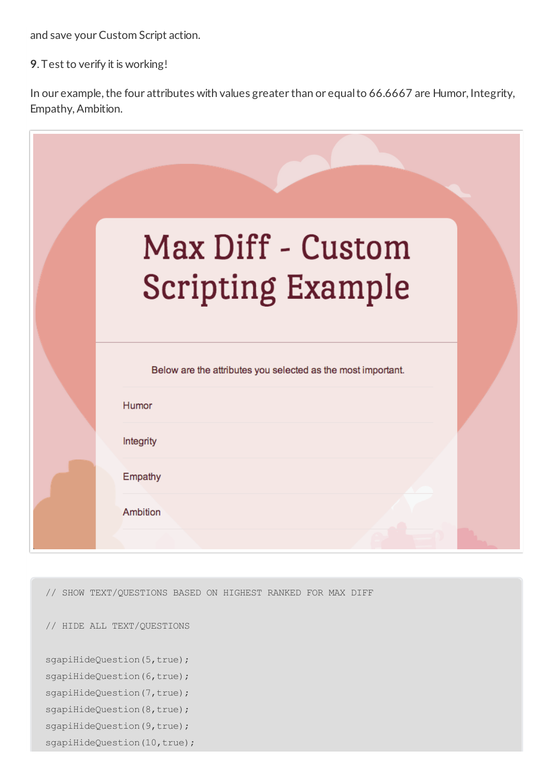and save your Custom Script action.

**9**. Test to verify it is working!

In our example, the four attributes with values greater than or equal to 66.6667 are Humor, Integrity, Empathy,Ambition.

| Max Diff - Custom<br><b>Scripting Example</b>                         |  |
|-----------------------------------------------------------------------|--|
| Below are the attributes you selected as the most important.<br>Humor |  |
| Integrity<br>Empathy<br><b>Ambition</b>                               |  |

// SHOW TEXT/QUESTIONS BASED ON HIGHEST RANKED FOR MAX DIFF

// HIDE ALL TEXT/QUESTIONS

sgapiHideQuestion(5,true);

sgapiHideQuestion(6,true);

sgapiHideQuestion(7,true); sgapiHideQuestion(8,true);

sgapiHideQuestion(9,true);

sgapiHideQuestion(10,true);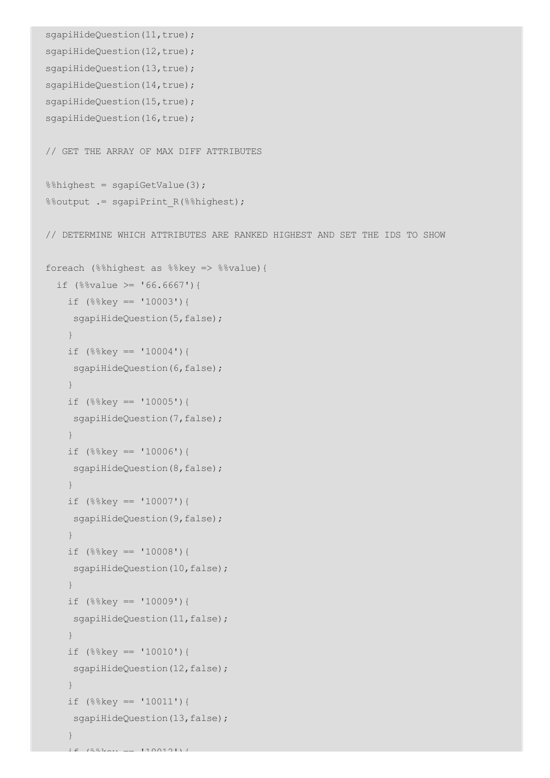```
sgapiHideQuestion(11,true);
sgapiHideQuestion(12,true);
sgapiHideQuestion(13,true);
sgapiHideQuestion(14,true);
sgapiHideQuestion(15,true);
sgapiHideQuestion(16,true);
// GET THE ARRAY OF MAX DIFF ATTRIBUTES
%%highest = sgapiGetValue(3);
%%output .= sgapiPrint R(%%highest);
// DETERMINE WHICH ATTRIBUTES ARE RANKED HIGHEST AND SET THE IDS TO SHOW
foreach (%%highest as %%key => %%value){
  if (\$8value >= '66.6667') {
   if (%%key == '10003'){
    sgapiHideQuestion(5,false);
    }
   if (\$%key == '10004') {
    sgapiHideQuestion(6,false);
    }
    if (%%key == '10005'){
    sgapiHideQuestion(7,false);
    }
   if (%%key == '10006'){
    sgapiHideQuestion(8,false);
    }
   if (\$%key == '10007') {
    sgapiHideQuestion(9,false);
    }
    if (%%key == '10008'){
    sgapiHideQuestion(10,false);
    }
    if (%%key == '10009'){
    sgapiHideQuestion(11,false);
    }
    if (%%key == '10010'){
    sgapiHideQuestion(12,false);
    }
   if (\$%key == '10011') {
    sgapiHideQuestion(13,false);
    }
```
 $\pm$   $\epsilon$  (%%) key ==  $1100121$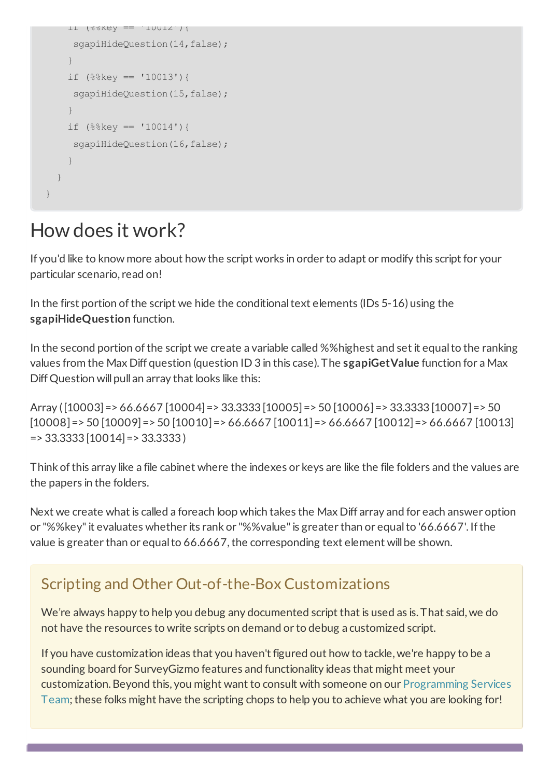```
if (%%key == '10012'){
    sgapiHideQuestion(14,false);
    }
    if (%%key == '10013'){
    sgapiHideQuestion(15,false);
    }
   if (\$%key == '10014')sgapiHideQuestion(16,false);
    }
 }
}
```
## How does it work?

If you'd like to know more about how the script works in order to adapt or modify this script for your particular scenario, read on!

In the first portion of the script we hide the conditional text elements (IDs 5-16) using the **sgapiHideQuestion** function.

In the second portion of the script we create a variable called %% highest and set it equal to the ranking values from the Max Diff question (question ID 3 in this case). The **sgapiGetValue** function for a Max Diff Question will pull an array that looks like this:

Array ([10003]=> 66.6667 [10004]=> 33.3333 [10005]=> 50 [10006]=> 33.3333 [10007]=> 50  $[10008]$  = > 50  $[10009]$  = > 50  $[10010]$  = > 66.6667  $[10011]$  = > 66.6667  $[10012]$  = > 66.6667  $[10013]$  $=$  > 33.3333 [10014] = > 33.3333 ]

Think ofthis array like a file cabinet where the indexes or keys are like the file folders and the values are the papers in the folders.

Next we create what is called a foreach loop which takes the Max Diff array and for each answer option or "%%key" it evaluates whether its rank or "%%value" is greater than or equal to '66.6667'. If the value is greater than or equal to 66.6667, the corresponding text element will be shown.

#### Scripting and Other Out-of-the-Box Customizations

We're always happy to help you debug any documented script that is used as is. That said, we do not have the resources to write scripts on demand or to debug a customized script.

If you have customization ideas that you haven't figured out how to tackle, we're happy to be a sounding board for SurveyGizmo features and functionality ideas that might meet your customization. Beyond this, you might want to consult with someone on our Programming Services Team; these folks might have the scripting chops to help you to achieve what you are looking for!